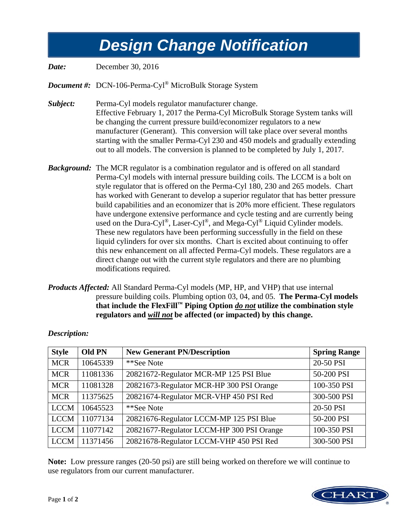## *Design Change Notification Design Change Notification*

*Date:* December 30, 2016

*Document #:* DCN-106-Perma-Cyl® MicroBulk Storage System

*Subject:* Perma-Cyl models regulator manufacturer change. Effective February 1, 2017 the Perma-Cyl MicroBulk Storage System tanks will be changing the current pressure build/economizer regulators to a new manufacturer (Generant). This conversion will take place over several months starting with the smaller Perma-Cyl 230 and 450 models and gradually extending out to all models. The conversion is planned to be completed by July 1, 2017.

- *Background:* The MCR regulator is a combination regulator and is offered on all standard Perma-Cyl models with internal pressure building coils. The LCCM is a bolt on style regulator that is offered on the Perma-Cyl 180, 230 and 265 models. Chart has worked with Generant to develop a superior regulator that has better pressure build capabilities and an economizer that is 20% more efficient. These regulators have undergone extensive performance and cycle testing and are currently being used on the Dura-Cyl®, Laser-Cyl®, and Mega-Cyl® Liquid Cylinder models. These new regulators have been performing successfully in the field on these liquid cylinders for over six months. Chart is excited about continuing to offer this new enhancement on all affected Perma-Cyl models. These regulators are a direct change out with the current style regulators and there are no plumbing modifications required.
- *Products Affected:* All Standard Perma-Cyl models (MP, HP, and VHP) that use internal pressure building coils. Plumbing option 03, 04, and 05. **The Perma-Cyl models that include the FlexFill™ Piping Option** *do not* **utilize the combination style regulators and** *will not* **be affected (or impacted) by this change.**

| <b>Style</b> | <b>Old PN</b> | <b>New Generant PN/Description</b>        | <b>Spring Range</b> |
|--------------|---------------|-------------------------------------------|---------------------|
| <b>MCR</b>   | 10645339      | **See Note                                | 20-50 PSI           |
| <b>MCR</b>   | 11081336      | 20821672-Regulator MCR-MP 125 PSI Blue    | 50-200 PSI          |
| <b>MCR</b>   | 11081328      | 20821673-Regulator MCR-HP 300 PSI Orange  | 100-350 PSI         |
| <b>MCR</b>   | 11375625      | 20821674-Regulator MCR-VHP 450 PSI Red    | 300-500 PSI         |
| <b>LCCM</b>  | 10645523      | **See Note                                | 20-50 PSI           |
| <b>LCCM</b>  | 11077134      | 20821676-Regulator LCCM-MP 125 PSI Blue   | 50-200 PSI          |
| <b>LCCM</b>  | 11077142      | 20821677-Regulator LCCM-HP 300 PSI Orange | 100-350 PSI         |
| <b>LCCM</b>  | 11371456      | 20821678-Regulator LCCM-VHP 450 PSI Red   | 300-500 PSI         |

## *Description:*

**Note:** Low pressure ranges (20-50 psi) are still being worked on therefore we will continue to use regulators from our current manufacturer.